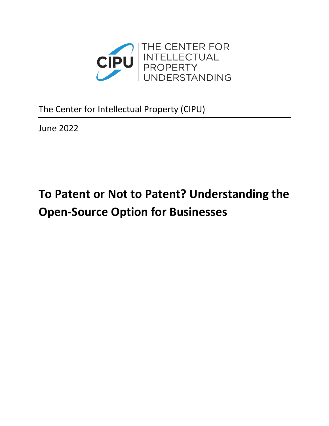

The Center for Intellectual Property (CIPU)

June 2022

# **To Patent or Not to Patent? Understanding the Open-Source Option for Businesses**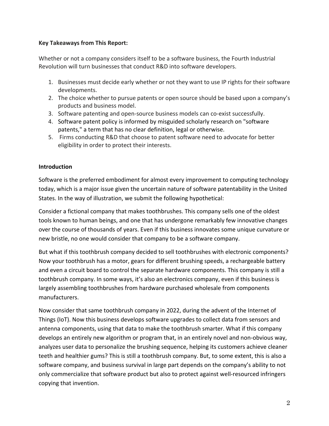## **Key Takeaways from This Report:**

Whether or not a company considers itself to be a software business, the Fourth Industrial Revolution will turn businesses that conduct R&D into software developers.

- 1. Businesses must decide early whether or not they want to use IP rights for their software developments.
- 2. The choice whether to pursue patents or open source should be based upon a company's products and business model.
- 3. Software patenting and open-source business models can co-exist successfully.
- 4. Software patent policy is informed by misguided scholarly research on "software patents," a term that has no clear definition, legal or otherwise.
- 5. Firms conducting R&D that choose to patent software need to advocate for better eligibility in order to protect their interests.

## **Introduction**

Software is the preferred embodiment for almost every improvement to computing technology today, which is a major issue given the uncertain nature of software patentability in the United States. In the way of illustration, we submit the following hypothetical:

Consider a fictional company that makes toothbrushes. This company sells one of the oldest tools known to human beings, and one that has undergone remarkably few innovative changes over the course of thousands of years. Even if this business innovates some unique curvature or new bristle, no one would consider that company to be a software company.

But what if this toothbrush company decided to sell toothbrushes with electronic components? Now your toothbrush has a motor, gears for different brushing speeds, a rechargeable battery and even a circuit board to control the separate hardware components. This company is still a toothbrush company. In some ways, it's also an electronics company, even if this business is largely assembling toothbrushes from hardware purchased wholesale from components manufacturers.

Now consider that same toothbrush company in 2022, during the advent of the Internet of Things (IoT). Now this business develops software upgrades to collect data from sensors and antenna components, using that data to make the toothbrush smarter. What if this company develops an entirely new algorithm or program that, in an entirely novel and non-obvious way, analyzes user data to personalize the brushing sequence, helping its customers achieve cleaner teeth and healthier gums? This is still a toothbrush company. But, to some extent, this is also a software company, and business survival in large part depends on the company's ability to not only commercialize that software product but also to protect against well-resourced infringers copying that invention.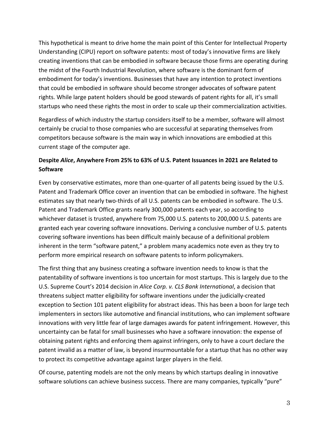This hypothetical is meant to drive home the main point of this Center for Intellectual Property Understanding (CIPU) report on software patents: most of today's innovative firms are likely creating inventions that can be embodied in software because those firms are operating during the midst of the Fourth Industrial Revolution, where software is the dominant form of embodiment for today's inventions. Businesses that have any intention to protect inventions that could be embodied in software should become stronger advocates of software patent rights. While large patent holders should be good stewards of patent rights for all, it's small startups who need these rights the most in order to scale up their commercialization activities.

Regardless of which industry the startup considers itself to be a member, software will almost certainly be crucial to those companies who are successful at separating themselves from competitors because software is the main way in which innovations are embodied at this current stage of the computer age.

# **Despite** *Alice***, Anywhere From 25% to 63% of U.S. Patent Issuances in 2021 are Related to Software**

Even by conservative estimates, more than one-quarter of all patents being issued by the U.S. Patent and Trademark Office cover an invention that can be embodied in software. The highest estimates say that nearly two-thirds of all U.S. patents can be embodied in software. The U.S. Patent and Trademark Office grants nearly 300,000 patents each year, so according to whichever dataset is trusted, anywhere from 75,000 U.S. patents to 200,000 U.S. patents are granted each year covering software innovations. Deriving a conclusive number of U.S. patents covering software inventions has been difficult mainly because of a definitional problem inherent in the term "software patent," a problem many academics note even as they try to perform more empirical research on software patents to inform policymakers.

The first thing that any business creating a software invention needs to know is that the patentability of software inventions is too uncertain for most startups. This is largely due to the U.S. Supreme Court's 2014 decision in *Alice Corp. v. CLS Bank International*, a decision that threatens subject matter eligibility for software inventions under the judicially-created exception to Section 101 patent eligibility for abstract ideas. This has been a boon for large tech implementers in sectors like automotive and financial institutions, who can implement software innovations with very little fear of large damages awards for patent infringement. However, this uncertainty can be fatal for small businesses who have a software innovation: the expense of obtaining patent rights and enforcing them against infringers, only to have a court declare the patent invalid as a matter of law, is beyond insurmountable for a startup that has no other way to protect its competitive advantage against larger players in the field.

Of course, patenting models are not the only means by which startups dealing in innovative software solutions can achieve business success. There are many companies, typically "pure"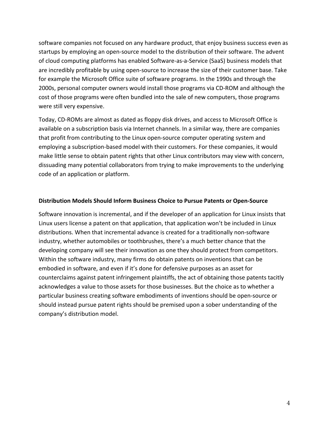software companies not focused on any hardware product, that enjoy business success even as startups by employing an open-source model to the distribution of their software. The advent of cloud computing platforms has enabled Software-as-a-Service (SaaS) business models that are incredibly profitable by using open-source to increase the size of their customer base. Take for example the Microsoft Office suite of software programs. In the 1990s and through the 2000s, personal computer owners would install those programs via CD-ROM and although the cost of those programs were often bundled into the sale of new computers, those programs were still very expensive.

Today, CD-ROMs are almost as dated as floppy disk drives, and access to Microsoft Office is available on a subscription basis via Internet channels. In a similar way, there are companies that profit from contributing to the Linux open-source computer operating system and employing a subscription-based model with their customers. For these companies, it would make little sense to obtain patent rights that other Linux contributors may view with concern, dissuading many potential collaborators from trying to make improvements to the underlying code of an application or platform.

#### **Distribution Models Should Inform Business Choice to Pursue Patents or Open-Source**

Software innovation is incremental, and if the developer of an application for Linux insists that Linux users license a patent on that application, that application won't be included in Linux distributions. When that incremental advance is created for a traditionally non-software industry, whether automobiles or toothbrushes, there's a much better chance that the developing company will see their innovation as one they should protect from competitors. Within the software industry, many firms do obtain patents on inventions that can be embodied in software, and even if it's done for defensive purposes as an asset for counterclaims against patent infringement plaintiffs, the act of obtaining those patents tacitly acknowledges a value to those assets for those businesses. But the choice as to whether a particular business creating software embodiments of inventions should be open-source or should instead pursue patent rights should be premised upon a sober understanding of the company's distribution model.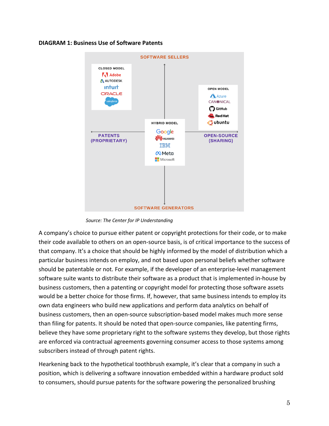#### **DIAGRAM 1: Business Use of Software Patents**



 *Source: The Center for IP Understanding*

A company's choice to pursue either patent or copyright protections for their code, or to make their code available to others on an open-source basis, is of critical importance to the success of that company. It's a choice that should be highly informed by the model of distribution which a particular business intends on employ, and not based upon personal beliefs whether software should be patentable or not. For example, if the developer of an enterprise-level management software suite wants to distribute their software as a product that is implemented in-house by business customers, then a patenting or copyright model for protecting those software assets would be a better choice for those firms. If, however, that same business intends to employ its own data engineers who build new applications and perform data analytics on behalf of business customers, then an open-source subscription-based model makes much more sense than filing for patents. It should be noted that open-source companies, like patenting firms, believe they have some proprietary right to the software systems they develop, but those rights are enforced via contractual agreements governing consumer access to those systems among subscribers instead of through patent rights.

Hearkening back to the hypothetical toothbrush example, it's clear that a company in such a position, which is delivering a software innovation embedded within a hardware product sold to consumers, should pursue patents for the software powering the personalized brushing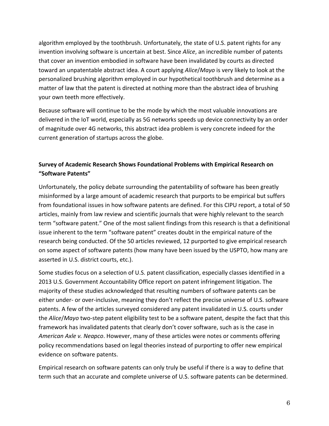algorithm employed by the toothbrush. Unfortunately, the state of U.S. patent rights for any invention involving software is uncertain at best. Since *Alice*, an incredible number of patents that cover an invention embodied in software have been invalidated by courts as directed toward an unpatentable abstract idea. A court applying *Alice*/*Mayo* is very likely to look at the personalized brushing algorithm employed in our hypothetical toothbrush and determine as a matter of law that the patent is directed at nothing more than the abstract idea of brushing your own teeth more effectively.

Because software will continue to be the mode by which the most valuable innovations are delivered in the IoT world, especially as 5G networks speeds up device connectivity by an order of magnitude over 4G networks, this abstract idea problem is very concrete indeed for the current generation of startups across the globe.

# **Survey of Academic Research Shows Foundational Problems with Empirical Research on "Software Patents"**

Unfortunately, the policy debate surrounding the patentability of software has been greatly misinformed by a large amount of academic research that purports to be empirical but suffers from foundational issues in how software patents are defined. For this CIPU report, a total of 50 articles, mainly from law review and scientific journals that were highly relevant to the search term "software patent." One of the most salient findings from this research is that a definitional issue inherent to the term "software patent" creates doubt in the empirical nature of the research being conducted. Of the 50 articles reviewed, 12 purported to give empirical research on some aspect of software patents (how many have been issued by the USPTO, how many are asserted in U.S. district courts, etc.).

Some studies focus on a selection of U.S. patent classification, especially classes identified in a 2013 U.S. Government Accountability Office report on patent infringement litigation. The majority of these studies acknowledged that resulting numbers of software patents can be either under- or over-inclusive, meaning they don't reflect the precise universe of U.S. software patents. A few of the articles surveyed considered any patent invalidated in U.S. courts under the *Alice*/*Mayo* two-step patent eligibility test to be a software patent, despite the fact that this framework has invalidated patents that clearly don't cover software, such as is the case in *American Axle v. Neapco*. However, many of these articles were notes or comments offering policy recommendations based on legal theories instead of purporting to offer new empirical evidence on software patents.

Empirical research on software patents can only truly be useful if there is a way to define that term such that an accurate and complete universe of U.S. software patents can be determined.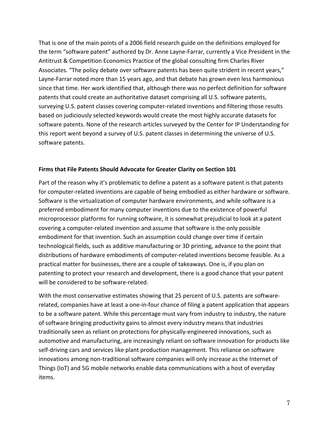That is one of the main points of a 2006 field research guide on the definitions employed for the term "software patent" authored by Dr. Anne Layne-Farrar, currently a Vice President in the Antitrust & Competition Economics Practice of the global consulting firm Charles River Associates. "The policy debate over software patents has been quite strident in recent years," Layne-Farrar noted more than 15 years ago, and that debate has grown even less harmonious since that time. Her work identified that, although there was no perfect definition for software patents that could create an authoritative dataset comprising all U.S. software patents, surveying U.S. patent classes covering computer-related inventions and filtering those results based on judiciously selected keywords would create the most highly accurate datasets for software patents. None of the research articles surveyed by the Center for IP Understanding for this report went beyond a survey of U.S. patent classes in determining the universe of U.S. software patents.

## **Firms that File Patents Should Advocate for Greater Clarity on Section 101**

Part of the reason why it's problematic to define a patent as a software patent is that patents for computer-related inventions are capable of being embodied as either hardware or software. Software is the virtualization of computer hardware environments, and while software is a preferred embodiment for many computer inventions due to the existence of powerful microprocessor platforms for running software, it is somewhat prejudicial to look at a patent covering a computer-related invention and assume that software is the only possible embodiment for that invention. Such an assumption could change over time if certain technological fields, such as additive manufacturing or 3D printing, advance to the point that distributions of hardware embodiments of computer-related inventions become feasible. As a practical matter for businesses, there are a couple of takeaways. One is, if you plan on patenting to protect your research and development, there is a good chance that your patent will be considered to be software-related.

With the most conservative estimates showing that 25 percent of U.S. patents are softwarerelated, companies have at least a one-in-four chance of filing a patent application that appears to be a software patent. While this percentage must vary from industry to industry, the nature of software bringing productivity gains to almost every industry means that industries traditionally seen as reliant on protections for physically-engineered innovations, such as automotive and manufacturing, are increasingly reliant on software innovation for products like self-driving cars and services like plant production management. This reliance on software innovations among non-traditional software companies will only increase as the Internet of Things (IoT) and 5G mobile networks enable data communications with a host of everyday items.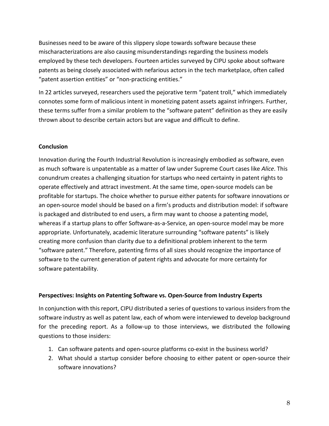Businesses need to be aware of this slippery slope towards software because these mischaracterizations are also causing misunderstandings regarding the business models employed by these tech developers. Fourteen articles surveyed by CIPU spoke about software patents as being closely associated with nefarious actors in the tech marketplace, often called "patent assertion entities" or "non-practicing entities."

In 22 articles surveyed, researchers used the pejorative term "patent troll," which immediately connotes some form of malicious intent in monetizing patent assets against infringers. Further, these terms suffer from a similar problem to the "software patent" definition as they are easily thrown about to describe certain actors but are vague and difficult to define.

## **Conclusion**

Innovation during the Fourth Industrial Revolution is increasingly embodied as software, even as much software is unpatentable as a matter of law under Supreme Court cases like *Alice*. This conundrum creates a challenging situation for startups who need certainty in patent rights to operate effectively and attract investment. At the same time, open-source models can be profitable for startups. The choice whether to pursue either patents for software innovations or an open-source model should be based on a firm's products and distribution model: if software is packaged and distributed to end users, a firm may want to choose a patenting model, whereas if a startup plans to offer Software-as-a-Service, an open-source model may be more appropriate. Unfortunately, academic literature surrounding "software patents" is likely creating more confusion than clarity due to a definitional problem inherent to the term "software patent." Therefore, patenting firms of all sizes should recognize the importance of software to the current generation of patent rights and advocate for more certainty for software patentability.

#### **Perspectives: Insights on Patenting Software vs. Open-Source from Industry Experts**

In conjunction with this report, CIPU distributed a series of questions to various insiders from the software industry as well as patent law, each of whom were interviewed to develop background for the preceding report. As a follow-up to those interviews, we distributed the following questions to those insiders:

- 1. Can software patents and open-source platforms co-exist in the business world?
- 2. What should a startup consider before choosing to either patent or open-source their software innovations?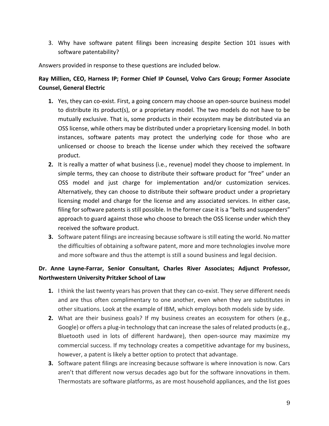3. Why have software patent filings been increasing despite Section 101 issues with software patentability?

Answers provided in response to these questions are included below.

## **Ray Millien, CEO, Harness IP; Former Chief IP Counsel, Volvo Cars Group; Former Associate Counsel, General Electric**

- **1.** Yes, they can co-exist. First, a going concern may choose an open-source business model to distribute its product(s), or a proprietary model. The two models do not have to be mutually exclusive. That is, some products in their ecosystem may be distributed via an OSS license, while others may be distributed under a proprietary licensing model. In both instances, software patents may protect the underlying code for those who are unlicensed or choose to breach the license under which they received the software product.
- **2.** It is really a matter of what business (i.e., revenue) model they choose to implement. In simple terms, they can choose to distribute their software product for "free" under an OSS model and just charge for implementation and/or customization services. Alternatively, they can choose to distribute their software product under a proprietary licensing model and charge for the license and any associated services. In either case, filing for software patents is still possible. In the former case it is a "belts and suspenders" approach to guard against those who choose to breach the OSS license under which they received the software product.
- **3.** Software patent filings are increasing because software is still eating the world. No matter the difficulties of obtaining a software patent, more and more technologies involve more and more software and thus the attempt is still a sound business and legal decision.

## **Dr. Anne Layne-Farrar, Senior Consultant, Charles River Associates; Adjunct Professor, Northwestern University Pritzker School of Law**

- **1.** I think the last twenty years has proven that they can co-exist. They serve different needs and are thus often complimentary to one another, even when they are substitutes in other situations. Look at the example of IBM, which employs both models side by side.
- **2.** What are their business goals? If my business creates an ecosystem for others (e.g., Google) or offers a plug-in technology that can increase the sales of related products (e.g., Bluetooth used in lots of different hardware), then open-source may maximize my commercial success. If my technology creates a competitive advantage for my business, however, a patent is likely a better option to protect that advantage.
- **3.** Software patent filings are increasing because software is where innovation is now. Cars aren't that different now versus decades ago but for the software innovations in them. Thermostats are software platforms, as are most household appliances, and the list goes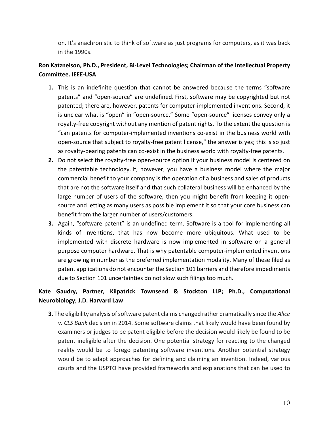on. It's anachronistic to think of software as just programs for computers, as it was back in the 1990s.

## **Ron Katznelson, Ph.D., President, Bi-Level Technologies; Chairman of the Intellectual Property Committee. IEEE-USA**

- **1.** This is an indefinite question that cannot be answered because the terms "software patents" and "open-source" are undefined. First, software may be copyrighted but not patented; there are, however, patents for computer-implemented inventions. Second, it is unclear what is "open" in "open-source." Some "open-source" licenses convey only a royalty-free copyright without any mention of patent rights. To the extent the question is "can patents for computer-implemented inventions co-exist in the business world with open-source that subject to royalty-free patent license," the answer is yes; this is so just as royalty-bearing patents can co-exist in the business world with royalty-free patents.
- **2.** Do not select the royalty-free open-source option if your business model is centered on the patentable technology. If, however, you have a business model where the major commercial benefit to your company is the operation of a business and sales of products that are not the software itself and that such collateral business will be enhanced by the large number of users of the software, then you might benefit from keeping it opensource and letting as many users as possible implement it so that your core business can benefit from the larger number of users/customers.
- **3.** Again, "software patent" is an undefined term. Software is a tool for implementing all kinds of inventions, that has now become more ubiquitous. What used to be implemented with discrete hardware is now implemented in software on a general purpose computer hardware. That is why patentable computer-implemented inventions are growing in number as the preferred implementation modality. Many of these filed as patent applications do not encounter the Section 101 barriers and therefore impediments due to Section 101 uncertainties do not slow such filings too much.

# **Kate Gaudry, Partner, Kilpatrick Townsend & Stockton LLP; Ph.D., Computational Neurobiology; J.D. Harvard Law**

**3**. The eligibility analysis of software patent claims changed rather dramatically since the *Alice v. CLS Bank* decision in 2014. Some software claims that likely would have been found by examiners or judges to be patent eligible before the decision would likely be found to be patent ineligible after the decision. One potential strategy for reacting to the changed reality would be to forego patenting software inventions. Another potential strategy would be to adapt approaches for defining and claiming an invention. Indeed, various courts and the USPTO have provided frameworks and explanations that can be used to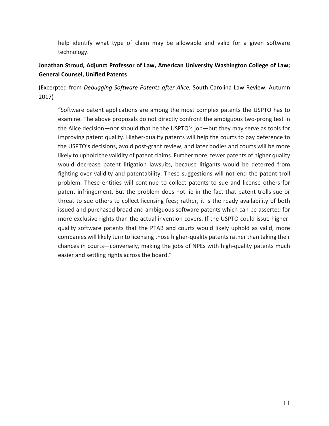help identify what type of claim may be allowable and valid for a given software technology.

## **Jonathan Stroud, Adjunct Professor of Law, American University Washington College of Law; General Counsel, Unified Patents**

(Excerpted from *Debugging Software Patents after Alice*, South Carolina Law Review, Autumn 2017)

"Software patent applications are among the most complex patents the USPTO has to examine. The above proposals do not directly confront the ambiguous two-prong test in the Alice decision—nor should that be the USPTO's job—but they may serve as tools for improving patent quality. Higher-quality patents will help the courts to pay deference to the USPTO's decisions, avoid post-grant review, and later bodies and courts will be more likely to uphold the validity of patent claims. Furthermore, fewer patents of higher quality would decrease patent litigation lawsuits, because litigants would be deterred from fighting over validity and patentability. These suggestions will not end the patent troll problem. These entities will continue to collect patents to sue and license others for patent infringement. But the problem does not lie in the fact that patent trolls sue or threat to sue others to collect licensing fees; rather, it is the ready availability of both issued and purchased broad and ambiguous software patents which can be asserted for more exclusive rights than the actual invention covers. If the USPTO could issue higherquality software patents that the PTAB and courts would likely uphold as valid, more companies will likely turn to licensing those higher-quality patents rather than taking their chances in courts—conversely, making the jobs of NPEs with high-quality patents much easier and settling rights across the board."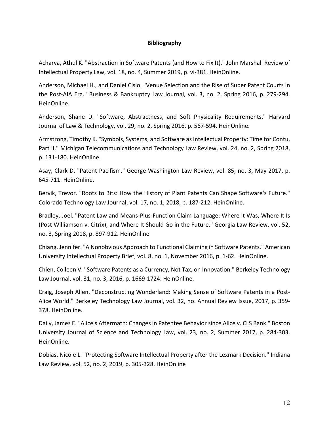#### **Bibliography**

Acharya, Athul K. "Abstraction in Software Patents (and How to Fix It)." John Marshall Review of Intellectual Property Law, vol. 18, no. 4, Summer 2019, p. vi-381. HeinOnline.

Anderson, Michael H., and Daniel Cislo. "Venue Selection and the Rise of Super Patent Courts in the Post-AIA Era." Business & Bankruptcy Law Journal, vol. 3, no. 2, Spring 2016, p. 279-294. HeinOnline.

Anderson, Shane D. "Software, Abstractness, and Soft Physicality Requirements." Harvard Journal of Law & Technology, vol. 29, no. 2, Spring 2016, p. 567-594. HeinOnline.

Armstrong, Timothy K. "Symbols, Systems, and Software as Intellectual Property: Time for Contu, Part II." Michigan Telecommunications and Technology Law Review, vol. 24, no. 2, Spring 2018, p. 131-180. HeinOnline.

Asay, Clark D. "Patent Pacifism." George Washington Law Review, vol. 85, no. 3, May 2017, p. 645-711. HeinOnline.

Bervik, Trevor. "Roots to Bits: How the History of Plant Patents Can Shape Software's Future." Colorado Technology Law Journal, vol. 17, no. 1, 2018, p. 187-212. HeinOnline.

Bradley, Joel. "Patent Law and Means-Plus-Function Claim Language: Where It Was, Where It Is (Post Williamson v. Citrix), and Where It Should Go in the Future." Georgia Law Review, vol. 52, no. 3, Spring 2018, p. 897-912. HeinOnline

Chiang, Jennifer. "A Nonobvious Approach to Functional Claiming in Software Patents." American University Intellectual Property Brief, vol. 8, no. 1, November 2016, p. 1-62. HeinOnline.

Chien, Colleen V. "Software Patents as a Currency, Not Tax, on Innovation." Berkeley Technology Law Journal, vol. 31, no. 3, 2016, p. 1669-1724. HeinOnline.

Craig, Joseph Allen. "Deconstructing Wonderland: Making Sense of Software Patents in a Post-Alice World." Berkeley Technology Law Journal, vol. 32, no. Annual Review Issue, 2017, p. 359- 378. HeinOnline.

Daily, James E. "Alice's Aftermath: Changes in Patentee Behavior since Alice v. CLS Bank." Boston University Journal of Science and Technology Law, vol. 23, no. 2, Summer 2017, p. 284-303. HeinOnline.

Dobias, Nicole L. "Protecting Software Intellectual Property after the Lexmark Decision." Indiana Law Review, vol. 52, no. 2, 2019, p. 305-328. HeinOnline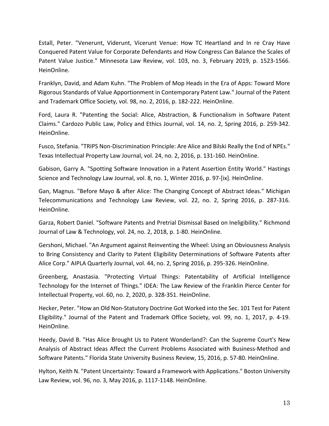Estall, Peter. "Venerunt, Viderunt, Vicerunt Venue: How TC Heartland and In re Cray Have Conquered Patent Value for Corporate Defendants and How Congress Can Balance the Scales of Patent Value Justice." Minnesota Law Review, vol. 103, no. 3, February 2019, p. 1523-1566. HeinOnline.

Franklyn, David, and Adam Kuhn. "The Problem of Mop Heads in the Era of Apps: Toward More Rigorous Standards of Value Apportionment in Contemporary Patent Law." Journal of the Patent and Trademark Office Society, vol. 98, no. 2, 2016, p. 182-222. HeinOnline.

Ford, Laura R. "Patenting the Social: Alice, Abstraction, & Functionalism in Software Patent Claims." Cardozo Public Law, Policy and Ethics Journal, vol. 14, no. 2, Spring 2016, p. 259-342. HeinOnline.

Fusco, Stefania. "TRIPS Non-Discrimination Principle: Are Alice and Bilski Really the End of NPEs." Texas Intellectual Property Law Journal, vol. 24, no. 2, 2016, p. 131-160. HeinOnline.

Gabison, Garry A. "Spotting Software Innovation in a Patent Assertion Entity World." Hastings Science and Technology Law Journal, vol. 8, no. 1, Winter 2016, p. 97-[ix]. HeinOnline.

Gan, Magnus. "Before Mayo & after Alice: The Changing Concept of Abstract Ideas." Michigan Telecommunications and Technology Law Review, vol. 22, no. 2, Spring 2016, p. 287-316. HeinOnline.

Garza, Robert Daniel. "Software Patents and Pretrial Dismissal Based on Ineligibility." Richmond Journal of Law & Technology, vol. 24, no. 2, 2018, p. 1-80. HeinOnline.

Gershoni, Michael. "An Argument against Reinventing the Wheel: Using an Obviousness Analysis to Bring Consistency and Clarity to Patent Eligibility Determinations of Software Patents after Alice Corp." AIPLA Quarterly Journal, vol. 44, no. 2, Spring 2016, p. 295-326. HeinOnline.

Greenberg, Anastasia. "Protecting Virtual Things: Patentability of Artificial Intelligence Technology for the Internet of Things." IDEA: The Law Review of the Franklin Pierce Center for Intellectual Property, vol. 60, no. 2, 2020, p. 328-351. HeinOnline.

Hecker, Peter. "How an Old Non-Statutory Doctrine Got Worked into the Sec. 101 Test for Patent Eligibility." Journal of the Patent and Trademark Office Society, vol. 99, no. 1, 2017, p. 4-19. HeinOnline.

Heedy, David B. "Has Alice Brought Us to Patent Wonderland?: Can the Supreme Court's New Analysis of Abstract Ideas Affect the Current Problems Associated with Business-Method and Software Patents." Florida State University Business Review, 15, 2016, p. 57-80. HeinOnline.

Hylton, Keith N. "Patent Uncertainty: Toward a Framework with Applications." Boston University Law Review, vol. 96, no. 3, May 2016, p. 1117-1148. HeinOnline.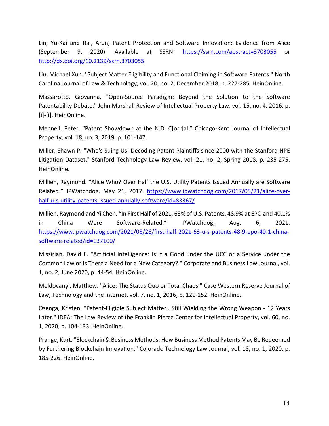Lin, Yu-Kai and Rai, Arun, Patent Protection and Software Innovation: Evidence from Alice (September 9, 2020). Available at SSRN: https://ssrn.com/abstract=3703055 or http://dx.doi.org/10.2139/ssrn.3703055

Liu, Michael Xun. "Subject Matter Eligibility and Functional Claiming in Software Patents." North Carolina Journal of Law & Technology, vol. 20, no. 2, December 2018, p. 227-285. HeinOnline.

Massarotto, Giovanna. "Open-Source Paradigm: Beyond the Solution to the Software Patentability Debate." John Marshall Review of Intellectual Property Law, vol. 15, no. 4, 2016, p. [i]-[i]. HeinOnline.

Mennell, Peter. "Patent Showdown at the N.D. C[orr]al." Chicago-Kent Journal of Intellectual Property, vol. 18, no. 3, 2019, p. 101-147.

Miller, Shawn P. "Who's Suing Us: Decoding Patent Plaintiffs since 2000 with the Stanford NPE Litigation Dataset." Stanford Technology Law Review, vol. 21, no. 2, Spring 2018, p. 235-275. HeinOnline.

Millien, Raymond. "Alice Who? Over Half the U.S. Utility Patents Issued Annually are Software Related!" IPWatchdog, May 21, 2017. https://www.ipwatchdog.com/2017/05/21/alice-overhalf-u-s-utility-patents-issued-annually-software/id=83367/

Millien, Raymond and Yi Chen. "In First Half of 2021, 63% of U.S. Patents, 48.9% at EPO and 40.1% in China Were Software-Related." IPWatchdog, Aug. 6, 2021. https://www.ipwatchdog.com/2021/08/26/first-half-2021-63-u-s-patents-48-9-epo-40-1-chinasoftware-related/id=137100/

Missirian, David E. "Artificial Intelligence: Is It a Good under the UCC or a Service under the Common Law or Is There a Need for a New Category?." Corporate and Business Law Journal, vol. 1, no. 2, June 2020, p. 44-54. HeinOnline.

Moldovanyi, Matthew. "Alice: The Status Quo or Total Chaos." Case Western Reserve Journal of Law, Technology and the Internet, vol. 7, no. 1, 2016, p. 121-152. HeinOnline.

Osenga, Kristen. "Patent-Eligible Subject Matter.. Still Wielding the Wrong Weapon - 12 Years Later." IDEA: The Law Review of the Franklin Pierce Center for Intellectual Property, vol. 60, no. 1, 2020, p. 104-133. HeinOnline.

Prange, Kurt. "Blockchain & Business Methods: How Business Method Patents May Be Redeemed by Furthering Blockchain Innovation." Colorado Technology Law Journal, vol. 18, no. 1, 2020, p. 185-226. HeinOnline.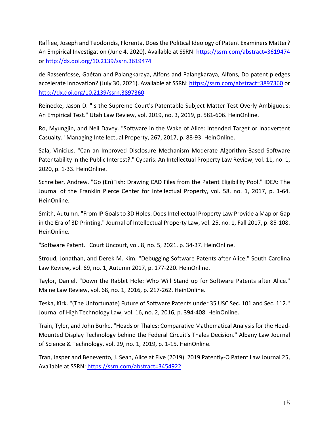Raffiee, Joseph and Teodoridis, Florenta, Does the Political Ideology of Patent Examiners Matter? An Empirical Investigation (June 4, 2020). Available at SSRN: https://ssrn.com/abstract=3619474 or http://dx.doi.org/10.2139/ssrn.3619474

de Rassenfosse, Gaétan and Palangkaraya, Alfons and Palangkaraya, Alfons, Do patent pledges accelerate innovation? (July 30, 2021). Available at SSRN: https://ssrn.com/abstract=3897360 or http://dx.doi.org/10.2139/ssrn.3897360

Reinecke, Jason D. "Is the Supreme Court's Patentable Subject Matter Test Overly Ambiguous: An Empirical Test." Utah Law Review, vol. 2019, no. 3, 2019, p. 581-606. HeinOnline.

Ro, Myungjin, and Neil Davey. "Software in the Wake of Alice: Intended Target or Inadvertent Casualty." Managing Intellectual Property, 267, 2017, p. 88-93. HeinOnline.

Sala, Vinicius. "Can an Improved Disclosure Mechanism Moderate Algorithm-Based Software Patentability in the Public Interest?." Cybaris: An Intellectual Property Law Review, vol. 11, no. 1, 2020, p. 1-33. HeinOnline.

Schreiber, Andrew. "Go (En)Fish: Drawing CAD Files from the Patent Eligibility Pool." IDEA: The Journal of the Franklin Pierce Center for Intellectual Property, vol. 58, no. 1, 2017, p. 1-64. HeinOnline.

Smith, Autumn. "From IP Goals to 3D Holes: Does Intellectual Property Law Provide a Map or Gap in the Era of 3D Printing." Journal of Intellectual Property Law, vol. 25, no. 1, Fall 2017, p. 85-108. HeinOnline.

"Software Patent." Court Uncourt, vol. 8, no. 5, 2021, p. 34-37. HeinOnline.

Stroud, Jonathan, and Derek M. Kim. "Debugging Software Patents after Alice." South Carolina Law Review, vol. 69, no. 1, Autumn 2017, p. 177-220. HeinOnline.

Taylor, Daniel. "Down the Rabbit Hole: Who Will Stand up for Software Patents after Alice." Maine Law Review, vol. 68, no. 1, 2016, p. 217-262. HeinOnline.

Teska, Kirk. "(The Unfortunate) Future of Software Patents under 35 USC Sec. 101 and Sec. 112." Journal of High Technology Law, vol. 16, no. 2, 2016, p. 394-408. HeinOnline.

Train, Tyler, and John Burke. "Heads or Thales: Comparative Mathematical Analysis for the Head-Mounted Display Technology behind the Federal Circuit's Thales Decision." Albany Law Journal of Science & Technology, vol. 29, no. 1, 2019, p. 1-15. HeinOnline.

Tran, Jasper and Benevento, J. Sean, Alice at Five (2019). 2019 Patently-O Patent Law Journal 25, Available at SSRN: https://ssrn.com/abstract=3454922